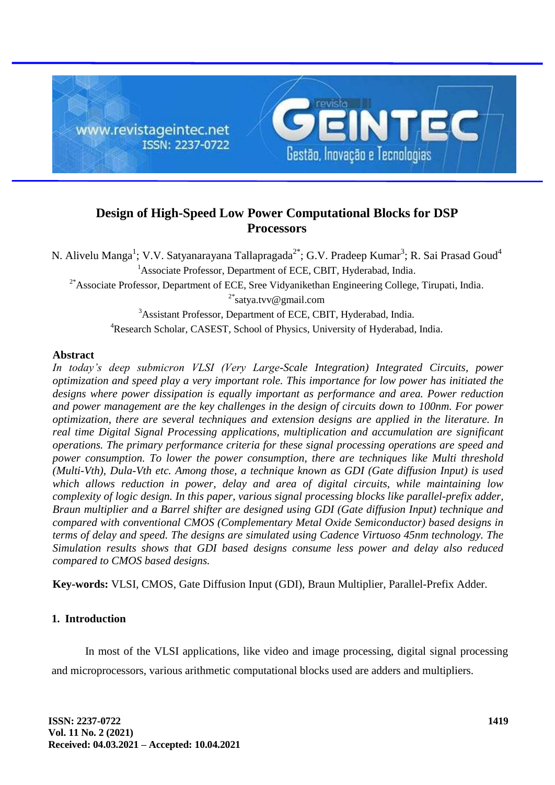

# **Design of High-Speed Low Power Computational Blocks for DSP Processors**

N. Alivelu Manga<sup>1</sup>; V.V. Satyanarayana Tallapragada<sup>2\*</sup>; G.V. Pradeep Kumar<sup>3</sup>; R. Sai Prasad Goud<sup>4</sup> <sup>1</sup>Associate Professor, Department of ECE, CBIT, Hyderabad, India.

 $2*$ Associate Professor, Department of ECE, Sree Vidyanikethan Engineering College, Tirupati, India.

<sup>2\*</sup>satya.tvv@gmail.com

<sup>3</sup>Assistant Professor, Department of ECE, CBIT, Hyderabad, India. <sup>4</sup>Research Scholar, CASEST, School of Physics, University of Hyderabad, India.

## **Abstract**

*In today's deep submicron VLSI (Very Large-Scale Integration) Integrated Circuits, power optimization and speed play a very important role. This importance for low power has initiated the designs where power dissipation is equally important as performance and area. Power reduction and power management are the key challenges in the design of circuits down to 100nm. For power optimization, there are several techniques and extension designs are applied in the literature. In real time Digital Signal Processing applications, multiplication and accumulation are significant operations. The primary performance criteria for these signal processing operations are speed and power consumption. To lower the power consumption, there are techniques like Multi threshold (Multi-Vth), Dula-Vth etc. Among those, a technique known as GDI (Gate diffusion Input) is used which allows reduction in power, delay and area of digital circuits, while maintaining low complexity of logic design. In this paper, various signal processing blocks like parallel-prefix adder, Braun multiplier and a Barrel shifter are designed using GDI (Gate diffusion Input) technique and compared with conventional CMOS (Complementary Metal Oxide Semiconductor) based designs in terms of delay and speed. The designs are simulated using Cadence Virtuoso 45nm technology. The Simulation results shows that GDI based designs consume less power and delay also reduced compared to CMOS based designs.*

**Key-words:** VLSI, CMOS, Gate Diffusion Input (GDI), Braun Multiplier, Parallel-Prefix Adder.

## **1. Introduction**

In most of the VLSI applications, like video and image processing, digital signal processing and microprocessors, various arithmetic computational blocks used are adders and multipliers.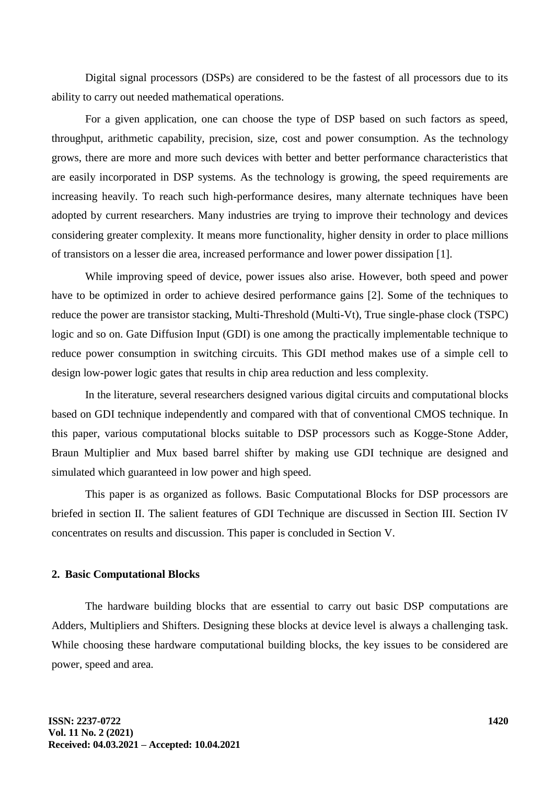Digital signal processors (DSPs) are considered to be the fastest of all processors due to its ability to carry out needed mathematical operations.

For a given application, one can choose the type of DSP based on such factors as speed, throughput, arithmetic capability, precision, size, cost and power consumption. As the technology grows, there are more and more such devices with better and better performance characteristics that are easily incorporated in DSP systems. As the technology is growing, the speed requirements are increasing heavily. To reach such high-performance desires, many alternate techniques have been adopted by current researchers. Many industries are trying to improve their technology and devices considering greater complexity. It means more functionality, higher density in order to place millions of transistors on a lesser die area, increased performance and lower power dissipation [1].

While improving speed of device, power issues also arise. However, both speed and power have to be optimized in order to achieve desired performance gains [2]. Some of the techniques to reduce the power are transistor stacking, Multi-Threshold (Multi-Vt), True single-phase clock (TSPC) logic and so on. Gate Diffusion Input (GDI) is one among the practically implementable technique to reduce power consumption in switching circuits. This GDI method makes use of a simple cell to design low-power logic gates that results in chip area reduction and less complexity.

In the literature, several researchers designed various digital circuits and computational blocks based on GDI technique independently and compared with that of conventional CMOS technique. In this paper, various computational blocks suitable to DSP processors such as Kogge-Stone Adder, Braun Multiplier and Mux based barrel shifter by making use GDI technique are designed and simulated which guaranteed in low power and high speed.

This paper is as organized as follows. Basic Computational Blocks for DSP processors are briefed in section II. The salient features of GDI Technique are discussed in Section III. Section IV concentrates on results and discussion. This paper is concluded in Section V.

### **2. Basic Computational Blocks**

The hardware building blocks that are essential to carry out basic DSP computations are Adders, Multipliers and Shifters. Designing these blocks at device level is always a challenging task. While choosing these hardware computational building blocks, the key issues to be considered are power, speed and area.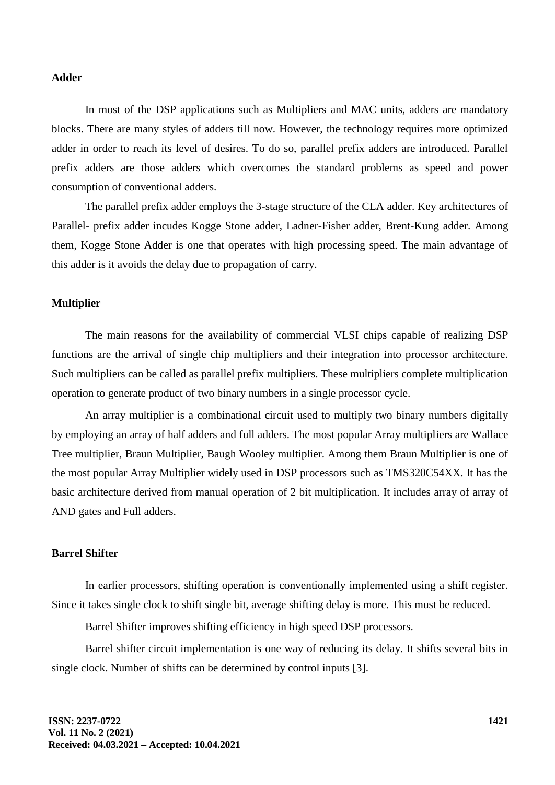## **Adder**

In most of the DSP applications such as Multipliers and MAC units, adders are mandatory blocks. There are many styles of adders till now. However, the technology requires more optimized adder in order to reach its level of desires. To do so, parallel prefix adders are introduced. Parallel prefix adders are those adders which overcomes the standard problems as speed and power consumption of conventional adders.

The parallel prefix adder employs the 3-stage structure of the CLA adder. Key architectures of Parallel- prefix adder incudes Kogge Stone adder, Ladner-Fisher adder, Brent-Kung adder. Among them, Kogge Stone Adder is one that operates with high processing speed. The main advantage of this adder is it avoids the delay due to propagation of carry.

## **Multiplier**

The main reasons for the availability of commercial VLSI chips capable of realizing DSP functions are the arrival of single chip multipliers and their integration into processor architecture. Such multipliers can be called as parallel prefix multipliers. These multipliers complete multiplication operation to generate product of two binary numbers in a single processor cycle.

An array multiplier is a combinational circuit used to multiply two binary numbers digitally by employing an array of half adders and full adders. The most popular Array multipliers are Wallace Tree multiplier, Braun Multiplier, Baugh Wooley multiplier. Among them Braun Multiplier is one of the most popular Array Multiplier widely used in DSP processors such as TMS320C54XX. It has the basic architecture derived from manual operation of 2 bit multiplication. It includes array of array of AND gates and Full adders.

#### **Barrel Shifter**

In earlier processors, shifting operation is conventionally implemented using a shift register. Since it takes single clock to shift single bit, average shifting delay is more. This must be reduced.

Barrel Shifter improves shifting efficiency in high speed DSP processors.

Barrel shifter circuit implementation is one way of reducing its delay. It shifts several bits in single clock. Number of shifts can be determined by control inputs [3].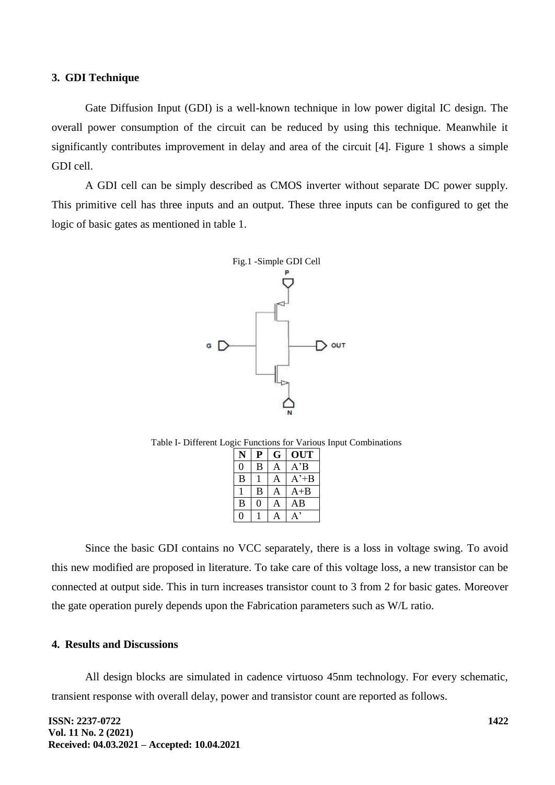#### **3. GDI Technique**

Gate Diffusion Input (GDI) is a well-known technique in low power digital IC design. The overall power consumption of the circuit can be reduced by using this technique. Meanwhile it significantly contributes improvement in delay and area of the circuit [4]. Figure 1 shows a simple GDI cell.

A GDI cell can be simply described as CMOS inverter without separate DC power supply. This primitive cell has three inputs and an output. These three inputs can be configured to get the logic of basic gates as mentioned in table 1.



Table I- Different Logic Functions for Various Input Combinations

| N | Р | G | OUT           |  |
|---|---|---|---------------|--|
| 0 | В | A | $A^{\prime}B$ |  |
| B |   | А | A'+B          |  |
|   | B | А | $A + B$       |  |
| B | 0 | А | ΑB            |  |
|   |   |   |               |  |

Since the basic GDI contains no VCC separately, there is a loss in voltage swing. To avoid this new modified are proposed in literature. To take care of this voltage loss, a new transistor can be connected at output side. This in turn increases transistor count to 3 from 2 for basic gates. Moreover the gate operation purely depends upon the Fabrication parameters such as W/L ratio.

### **4. Results and Discussions**

All design blocks are simulated in cadence virtuoso 45nm technology. For every schematic, transient response with overall delay, power and transistor count are reported as follows.

**ISSN: 2237-0722 Vol. 11 No. 2 (2021) Received: 04.03.2021 – Accepted: 10.04.2021**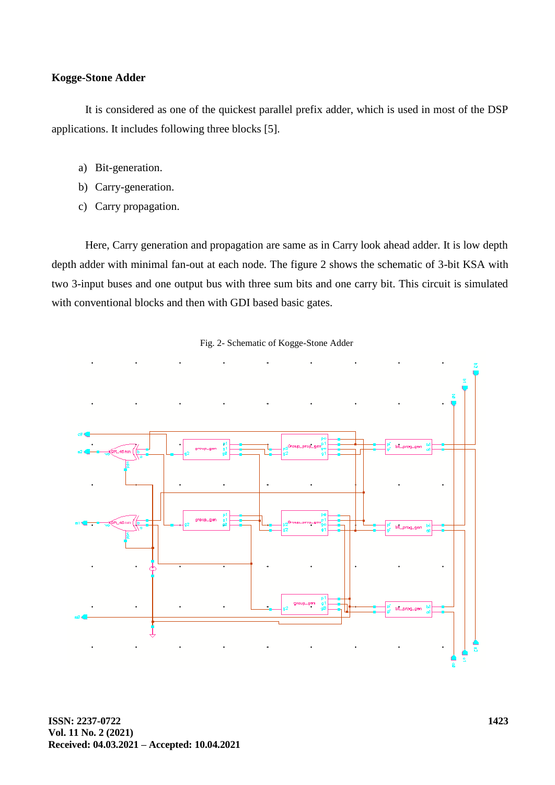## **Kogge-Stone Adder**

It is considered as one of the quickest parallel prefix adder, which is used in most of the DSP applications. It includes following three blocks [5].

- a) Bit-generation.
- b) Carry-generation.
- c) Carry propagation.

Here, Carry generation and propagation are same as in Carry look ahead adder. It is low depth depth adder with minimal fan-out at each node. The figure 2 shows the schematic of 3-bit KSA with two 3-input buses and one output bus with three sum bits and one carry bit. This circuit is simulated with conventional blocks and then with GDI based basic gates.



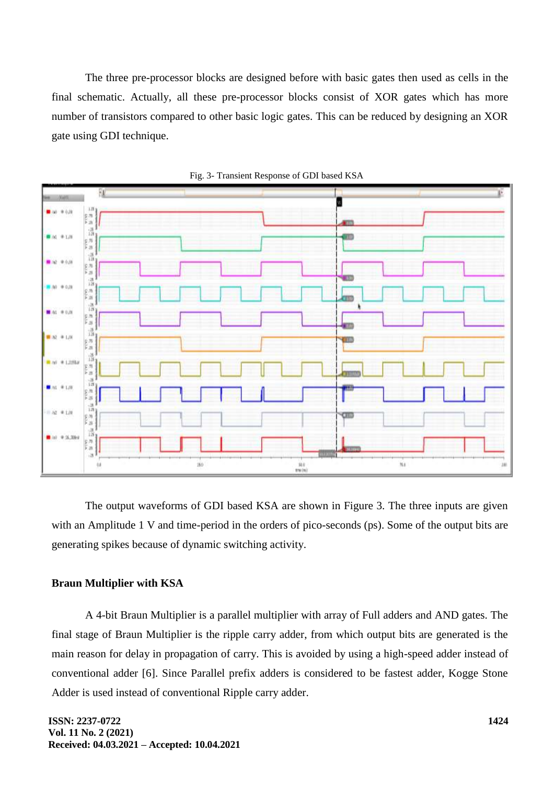The three pre-processor blocks are designed before with basic gates then used as cells in the final schematic. Actually, all these pre-processor blocks consist of XOR gates which has more number of transistors compared to other basic logic gates. This can be reduced by designing an XOR gate using GDI technique.





The output waveforms of GDI based KSA are shown in Figure 3. The three inputs are given with an Amplitude 1 V and time-period in the orders of pico-seconds (ps). Some of the output bits are generating spikes because of dynamic switching activity.

### **Braun Multiplier with KSA**

A 4-bit Braun Multiplier is a parallel multiplier with array of Full adders and AND gates. The final stage of Braun Multiplier is the ripple carry adder, from which output bits are generated is the main reason for delay in propagation of carry. This is avoided by using a high-speed adder instead of conventional adder [6]. Since Parallel prefix adders is considered to be fastest adder, Kogge Stone Adder is used instead of conventional Ripple carry adder.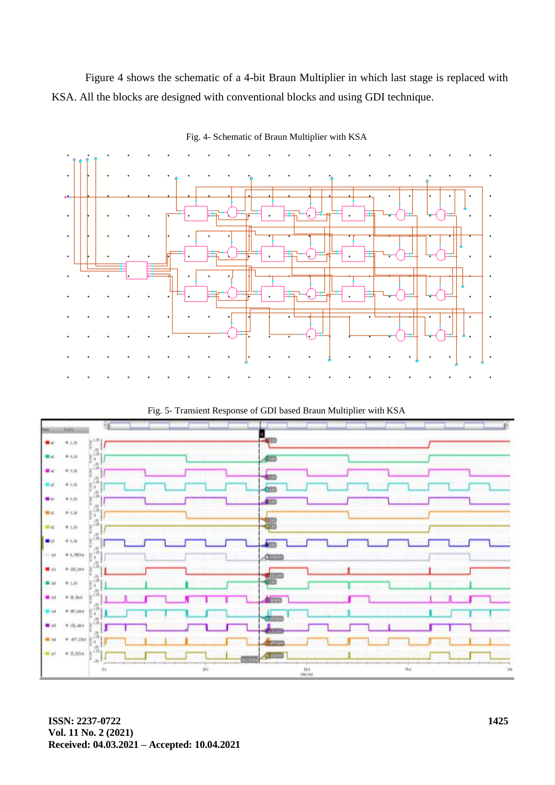Figure 4 shows the schematic of a 4-bit Braun Multiplier in which last stage is replaced with KSA. All the blocks are designed with conventional blocks and using GDI technique.



Fig. 4- Schematic of Braun Multiplier with KSA

Fig. 5- Transient Response of GDI based Braun Multiplier with KSA

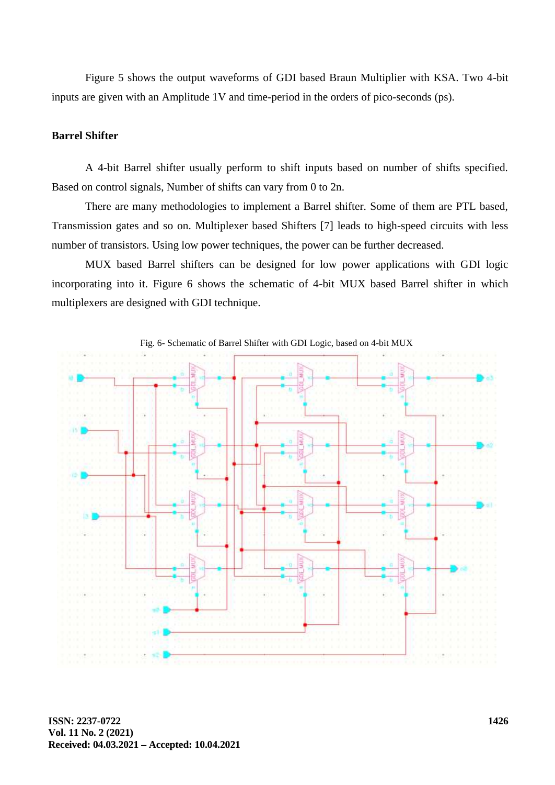Figure 5 shows the output waveforms of GDI based Braun Multiplier with KSA. Two 4-bit inputs are given with an Amplitude 1V and time-period in the orders of pico-seconds (ps).

## **Barrel Shifter**

A 4-bit Barrel shifter usually perform to shift inputs based on number of shifts specified. Based on control signals, Number of shifts can vary from 0 to 2n.

There are many methodologies to implement a Barrel shifter. Some of them are PTL based, Transmission gates and so on. Multiplexer based Shifters [7] leads to high-speed circuits with less number of transistors. Using low power techniques, the power can be further decreased.

MUX based Barrel shifters can be designed for low power applications with GDI logic incorporating into it. Figure 6 shows the schematic of 4-bit MUX based Barrel shifter in which multiplexers are designed with GDI technique.

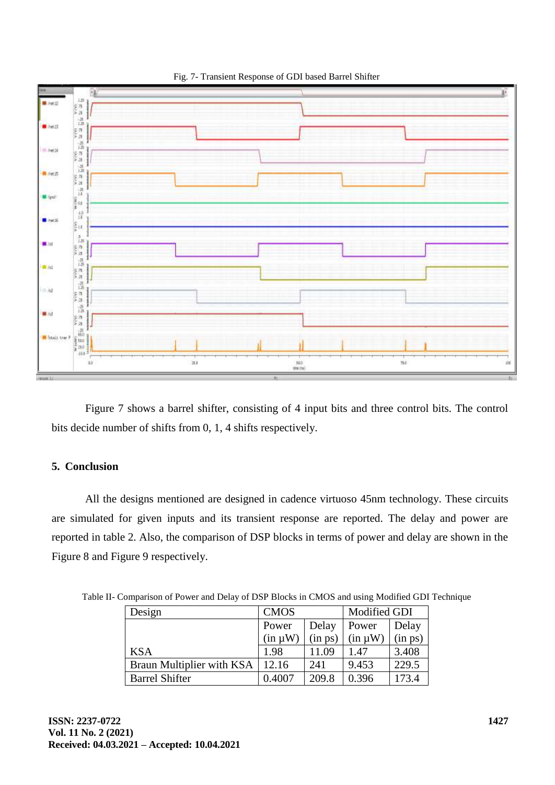

Fig. 7- Transient Response of GDI based Barrel Shifter

Figure 7 shows a barrel shifter, consisting of 4 input bits and three control bits. The control bits decide number of shifts from 0, 1, 4 shifts respectively.

## **5. Conclusion**

All the designs mentioned are designed in cadence virtuoso 45nm technology. These circuits are simulated for given inputs and its transient response are reported. The delay and power are reported in table 2. Also, the comparison of DSP blocks in terms of power and delay are shown in the Figure 8 and Figure 9 respectively.

| Design                    | <b>CMOS</b>  |         | Modified GDI |         |
|---------------------------|--------------|---------|--------------|---------|
|                           | Power        | Delay   | Power        | Delay   |
|                           | $(in \mu W)$ | (in ps) | $(in \mu W)$ | (in ps) |
| <b>KSA</b>                | 1.98         | 11.09   | 1.47         | 3.408   |
| Braun Multiplier with KSA | 12.16        | 241     | 9.453        | 229.5   |
| <b>Barrel Shifter</b>     | 0.4007       | 209.8   | 0.396        | 173.4   |

Table II- Comparison of Power and Delay of DSP Blocks in CMOS and using Modified GDI Technique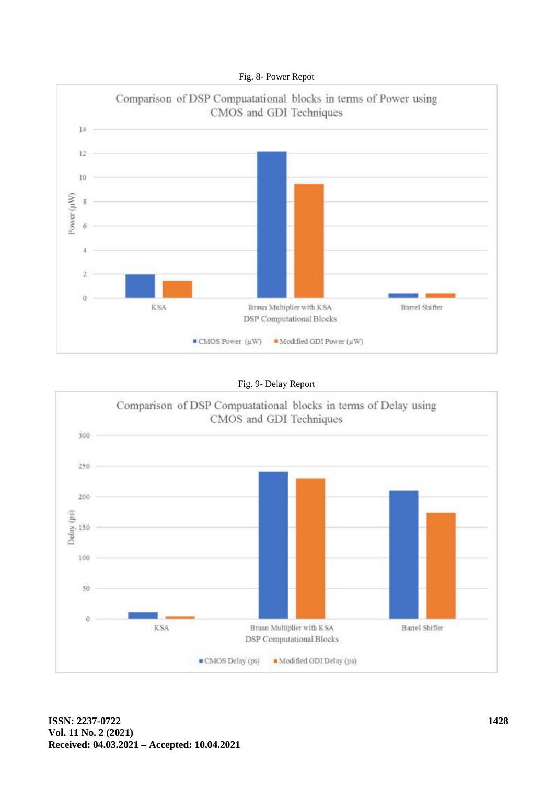



Fig. 9- Delay Report